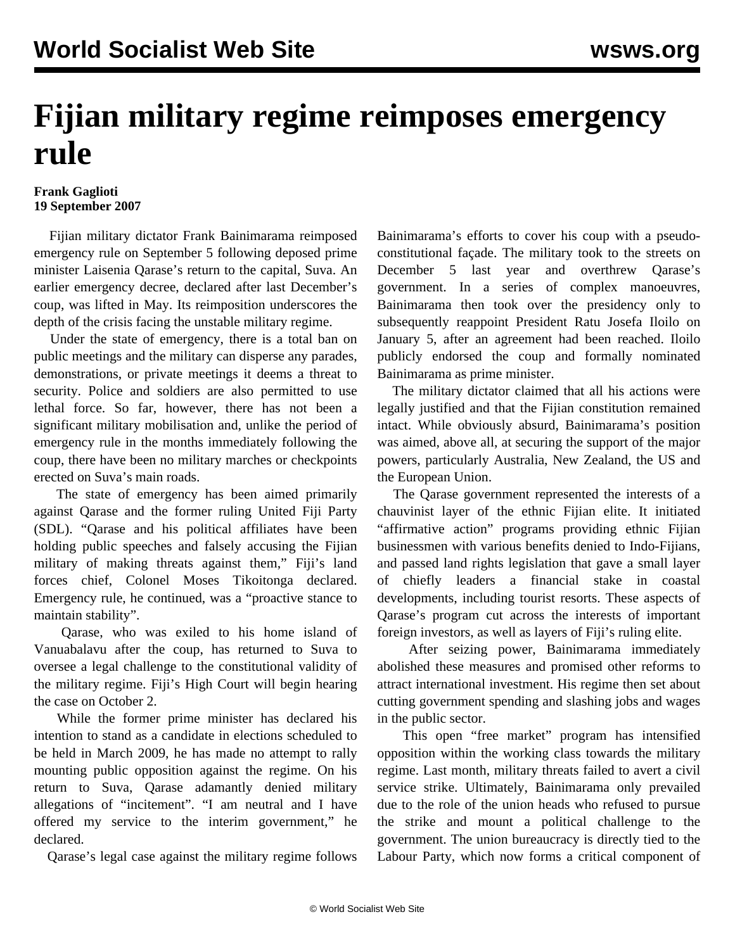## **Fijian military regime reimposes emergency rule**

## **Frank Gaglioti 19 September 2007**

 Fijian military dictator Frank Bainimarama reimposed emergency rule on September 5 following deposed prime minister Laisenia Qarase's return to the capital, Suva. An earlier emergency decree, declared after last December's coup, was lifted in May. Its reimposition underscores the depth of the crisis facing the unstable military regime.

 Under the state of emergency, there is a total ban on public meetings and the military can disperse any parades, demonstrations, or private meetings it deems a threat to security. Police and soldiers are also permitted to use lethal force. So far, however, there has not been a significant military mobilisation and, unlike the period of emergency rule in the months immediately following the coup, there have been no military marches or checkpoints erected on Suva's main roads.

 The state of emergency has been aimed primarily against Qarase and the former ruling United Fiji Party (SDL). "Qarase and his political affiliates have been holding public speeches and falsely accusing the Fijian military of making threats against them," Fiji's land forces chief, Colonel Moses Tikoitonga declared. Emergency rule, he continued, was a "proactive stance to maintain stability".

 Qarase, who was exiled to his home island of Vanuabalavu after the coup, has returned to Suva to oversee a legal challenge to the constitutional validity of the military regime. Fiji's High Court will begin hearing the case on October 2.

 While the former prime minister has declared his intention to stand as a candidate in elections scheduled to be held in March 2009, he has made no attempt to rally mounting public opposition against the regime. On his return to Suva, Qarase adamantly denied military allegations of "incitement". "I am neutral and I have offered my service to the interim government," he declared.

Qarase's legal case against the military regime follows

Bainimarama's efforts to cover his coup with a pseudoconstitutional façade. The military took to the streets on December 5 last year and overthrew Qarase's government. In a series of complex manoeuvres, Bainimarama then took over the presidency only to subsequently reappoint President Ratu Josefa Iloilo on January 5, after an agreement had been reached. Iloilo publicly endorsed the coup and formally nominated Bainimarama as prime minister.

 The military dictator claimed that all his actions were legally justified and that the Fijian constitution remained intact. While obviously absurd, Bainimarama's position was aimed, above all, at securing the support of the major powers, particularly Australia, New Zealand, the US and the European Union.

 The Qarase government represented the interests of a chauvinist layer of the ethnic Fijian elite. It initiated "affirmative action" programs providing ethnic Fijian businessmen with various benefits denied to Indo-Fijians, and passed land rights legislation that gave a small layer of chiefly leaders a financial stake in coastal developments, including tourist resorts. These aspects of Qarase's program cut across the interests of important foreign investors, as well as layers of Fiji's ruling elite.

 After seizing power, Bainimarama immediately abolished these measures and promised other reforms to attract international investment. His regime then set about cutting government spending and slashing jobs and wages in the public sector.

 This open "free market" program has intensified opposition within the working class towards the military regime. Last month, military threats failed to avert a civil service strike. Ultimately, Bainimarama only prevailed due to the role of the union heads who refused to pursue the strike and mount a political challenge to the government. The union bureaucracy is directly tied to the Labour Party, which now forms a critical component of